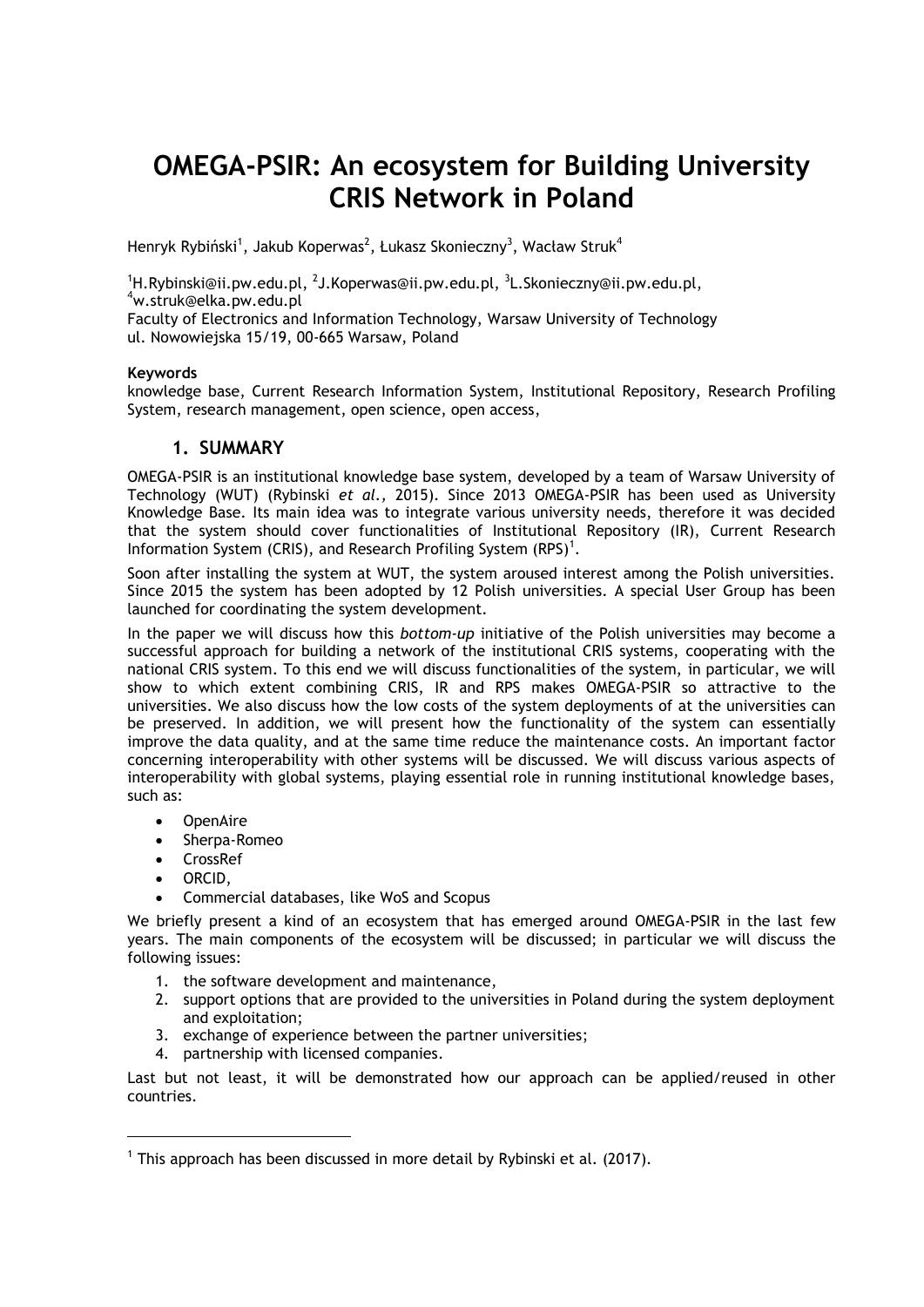# **OMEGA-PSIR: An ecosystem for Building University CRIS Network in Poland**

Henryk Rybiński $^1$ , Jakub Koperwas $^2$ , Łukasz Skonieczny $^3$ , Wacław Struk $^4$ 

 $^{1}\!$ H.Rybinski@ii.pw.edu.pl,  $^{2}$ J.Koperwas@ii.pw.edu.pl,  $^{3}$ L.Skonieczny@ii.pw.edu.pl, <sup>4</sup>w.struk@elka.pw.edu.pl

Faculty of Electronics and Information Technology, Warsaw University of Technology ul. Nowowiejska 15/19, 00-665 Warsaw, Poland

#### **Keywords**

knowledge base, Current Research Information System, Institutional Repository, Research Profiling System, research management, open science, open access,

## **1. SUMMARY**

OMEGA-PSIR is an institutional knowledge base system, developed by a team of Warsaw University of Technology (WUT) (Rybinski *et al.,* 2015). Since 2013 OMEGA-PSIR has been used as University Knowledge Base. Its main idea was to integrate various university needs, therefore it was decided that the system should cover functionalities of Institutional Repository (IR), Current Research Information System (CRIS), and Research Profiling System (RPS) $^1$ .

Soon after installing the system at WUT, the system aroused interest among the Polish universities. Since 2015 the system has been adopted by 12 Polish universities. A special User Group has been launched for coordinating the system development.

In the paper we will discuss how this *bottom-up* initiative of the Polish universities may become a successful approach for building a network of the institutional CRIS systems, cooperating with the national CRIS system. To this end we will discuss functionalities of the system, in particular, we will show to which extent combining CRIS, IR and RPS makes OMEGA-PSIR so attractive to the universities. We also discuss how the low costs of the system deployments of at the universities can be preserved. In addition, we will present how the functionality of the system can essentially improve the data quality, and at the same time reduce the maintenance costs. An important factor concerning interoperability with other systems will be discussed. We will discuss various aspects of interoperability with global systems, playing essential role in running institutional knowledge bases, such as:

- OpenAire
- Sherpa-Romeo
- CrossRef
- ORCID,

 $\overline{a}$ 

Commercial databases, like WoS and Scopus

We briefly present a kind of an ecosystem that has emerged around OMEGA-PSIR in the last few years. The main components of the ecosystem will be discussed; in particular we will discuss the following issues:

- 1. the software development and maintenance,
- 2. support options that are provided to the universities in Poland during the system deployment and exploitation;
- 3. exchange of experience between the partner universities;
- 4. partnership with licensed companies.

Last but not least, it will be demonstrated how our approach can be applied/reused in other countries.

 $^1$  This approach has been discussed in more detail by Rybinski et al. (2017).